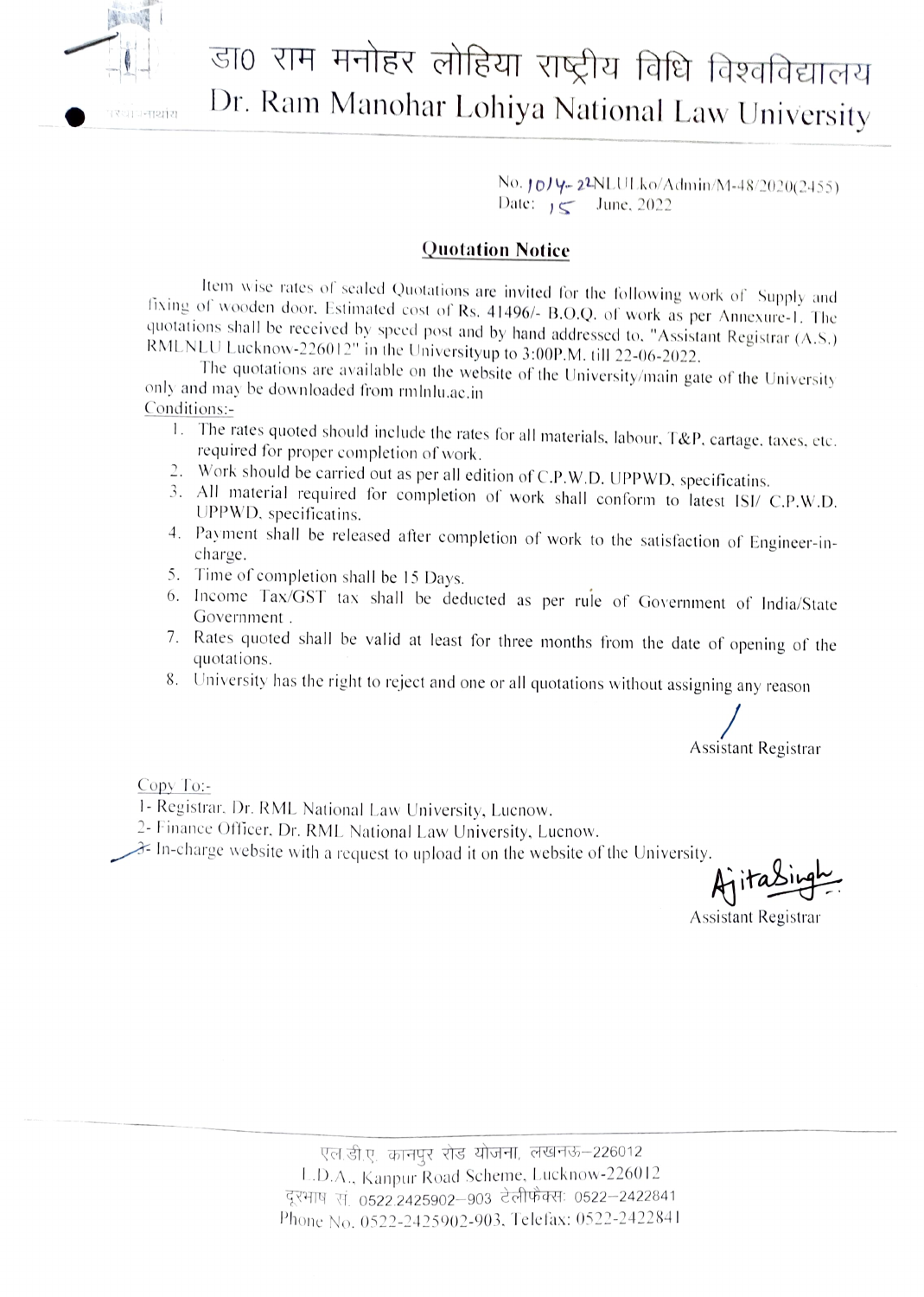

## III - डा0 राम मनोहर लोहिया राष्ट्रीय विधि विश्वविद्यालय<br>Dr. Ram Manohar Lohiya National Law University

 $No.$   $10$ / $4-22$ NLULko/Admin/M-48/2020(2455) Date:  $y \leq 3$  June, 2022

## Quotation Notice

Item wise rates of sealed Quotations are invited for the following work of Supply and fixing of wooden door. Estimated cost of Rs. 41496/- B.O.Q. of work as per Annexure-1. The quotations shall be received by speed post an

Conditions:-

- 1. The rates quoted should include the rates for all materials, labour, T&P, cartage, taxes, etc. required for proper completion of work.<br>2. Work should be carried out as per all edition of C.P.W.D. UPPWD, specificatins.
- 
- 3. All material required for completion of work shall conform to latest ISI/ C.P.W.D. UPPWD. specificatins.
- 4. Payment shall be released after completion of work to the satisfaction of Engineer-in-<br>
S. Time of completion shall be 15 Days.
- 
- 6. Income Tax/GST tax shall be deducted as per rule of Government of India/State Government.
- 7. Rates quoted shall be valid at least for three months from the date of opening of the quotations.
- 8. University has the right to reject and one or all quotations without assigning any reason

Assistant Registrar

Copy To

- 1- Registrar. Dr. RML National Law University, Lucnow.
- 2- Finance Officer, Dr. RML National Law University, Lucnow.
- $\mathcal{F}$  In-charge website with a request to upload it on the website of the University.

 $A$ ita

Assistant Registrar